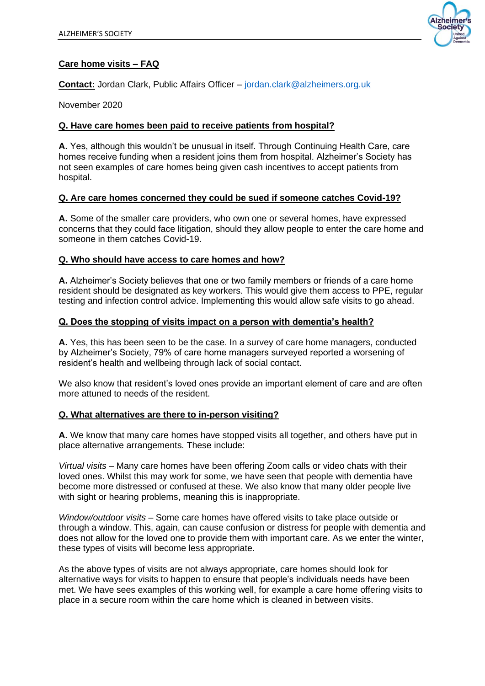

### **Care home visits – FAQ**

**Contact:** Jordan Clark, Public Affairs Officer – [jordan.clark@alzheimers.org.uk](mailto:jordan.clark@alzheimers.org.uk)

November 2020

#### **Q. Have care homes been paid to receive patients from hospital?**

**A.** Yes, although this wouldn't be unusual in itself. Through Continuing Health Care, care homes receive funding when a resident joins them from hospital. Alzheimer's Society has not seen examples of care homes being given cash incentives to accept patients from hospital.

### **Q. Are care homes concerned they could be sued if someone catches Covid-19?**

**A.** Some of the smaller care providers, who own one or several homes, have expressed concerns that they could face litigation, should they allow people to enter the care home and someone in them catches Covid-19.

#### **Q. Who should have access to care homes and how?**

**A.** Alzheimer's Society believes that one or two family members or friends of a care home resident should be designated as key workers. This would give them access to PPE, regular testing and infection control advice. Implementing this would allow safe visits to go ahead.

#### **Q. Does the stopping of visits impact on a person with dementia's health?**

**A.** Yes, this has been seen to be the case. In a survey of care home managers, conducted by Alzheimer's Society, 79% of care home managers surveyed reported a worsening of resident's health and wellbeing through lack of social contact.

We also know that resident's loved ones provide an important element of care and are often more attuned to needs of the resident.

#### **Q. What alternatives are there to in-person visiting?**

**A.** We know that many care homes have stopped visits all together, and others have put in place alternative arrangements. These include:

*Virtual visits –* Many care homes have been offering Zoom calls or video chats with their loved ones. Whilst this may work for some, we have seen that people with dementia have become more distressed or confused at these. We also know that many older people live with sight or hearing problems, meaning this is inappropriate.

*Window/outdoor visits –* Some care homes have offered visits to take place outside or through a window. This, again, can cause confusion or distress for people with dementia and does not allow for the loved one to provide them with important care. As we enter the winter, these types of visits will become less appropriate.

As the above types of visits are not always appropriate, care homes should look for alternative ways for visits to happen to ensure that people's individuals needs have been met. We have sees examples of this working well, for example a care home offering visits to place in a secure room within the care home which is cleaned in between visits.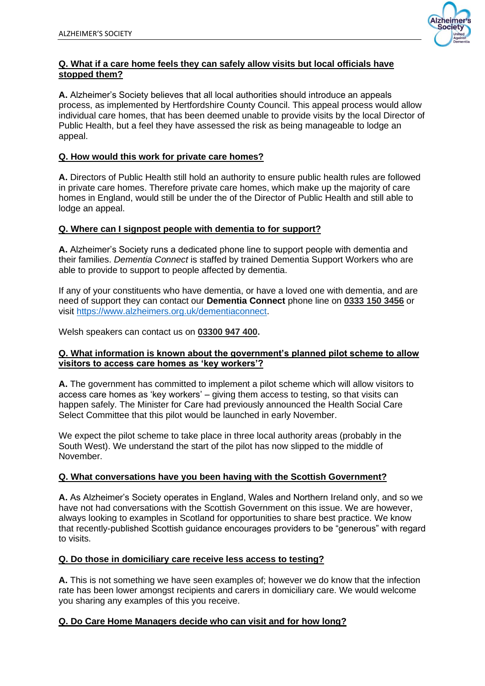

## **Q. What if a care home feels they can safely allow visits but local officials have stopped them?**

**A.** Alzheimer's Society believes that all local authorities should introduce an appeals process, as implemented by Hertfordshire County Council. This appeal process would allow individual care homes, that has been deemed unable to provide visits by the local Director of Public Health, but a feel they have assessed the risk as being manageable to lodge an appeal.

# **Q. How would this work for private care homes?**

**A.** Directors of Public Health still hold an authority to ensure public health rules are followed in private care homes. Therefore private care homes, which make up the majority of care homes in England, would still be under the of the Director of Public Health and still able to lodge an appeal.

## **Q. Where can I signpost people with dementia to for support?**

**A.** Alzheimer's Society runs a dedicated phone line to support people with dementia and their families. *Dementia Connect* is staffed by trained Dementia Support Workers who are able to provide to support to people affected by dementia.

If any of your constituents who have dementia, or have a loved one with dementia, and are need of support they can contact our **Dementia Connect** phone line on **0333 150 3456** or visit [https://www.alzheimers.org.uk/dementiaconnect.](https://www.alzheimers.org.uk/dementiaconnect)

Welsh speakers can contact us on **03300 947 400.**

### **Q. What information is known about the government's planned pilot scheme to allow visitors to access care homes as 'key workers'?**

**A.** The government has committed to implement a pilot scheme which will allow visitors to access care homes as 'key workers' – giving them access to testing, so that visits can happen safely. The Minister for Care had previously announced the Health Social Care Select Committee that this pilot would be launched in early November.

We expect the pilot scheme to take place in three local authority areas (probably in the South West). We understand the start of the pilot has now slipped to the middle of November.

### **Q. What conversations have you been having with the Scottish Government?**

**A.** As Alzheimer's Society operates in England, Wales and Northern Ireland only, and so we have not had conversations with the Scottish Government on this issue. We are however, always looking to examples in Scotland for opportunities to share best practice. We know that recently-published Scottish guidance encourages providers to be "generous" with regard to visits.

# **Q. Do those in domiciliary care receive less access to testing?**

**A.** This is not something we have seen examples of; however we do know that the infection rate has been lower amongst recipients and carers in domiciliary care. We would welcome you sharing any examples of this you receive.

# **Q. Do Care Home Managers decide who can visit and for how long?**